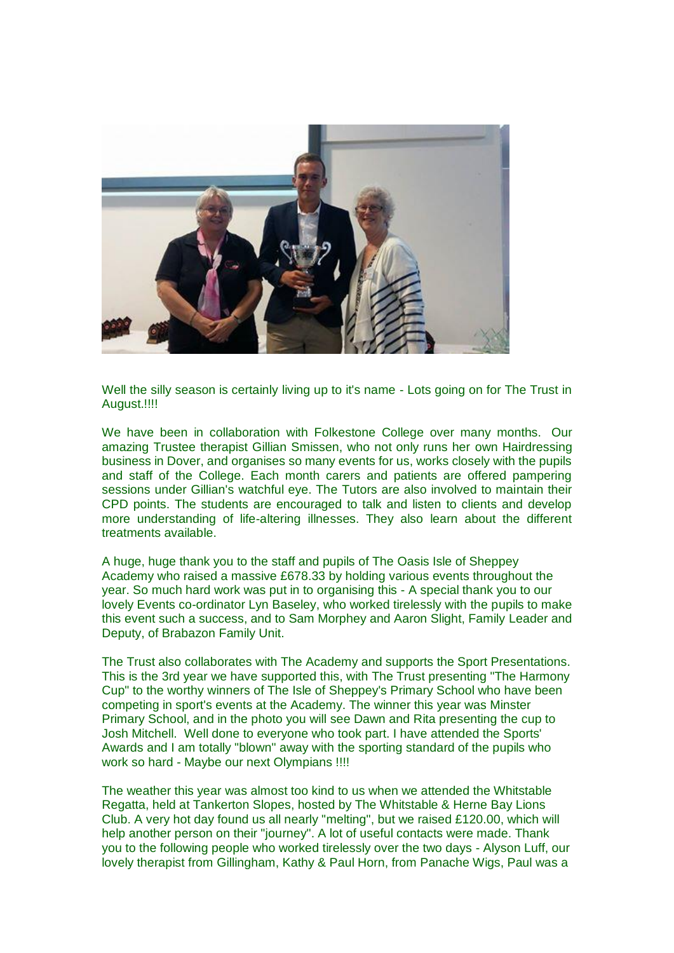

Well the silly season is certainly living up to it's name - Lots going on for The Trust in August.!!!!

We have been in collaboration with Folkestone College over many months. Our amazing Trustee therapist Gillian Smissen, who not only runs her own Hairdressing business in Dover, and organises so many events for us, works closely with the pupils and staff of the College. Each month carers and patients are offered pampering sessions under Gillian's watchful eye. The Tutors are also involved to maintain their CPD points. The students are encouraged to talk and listen to clients and develop more understanding of life-altering illnesses. They also learn about the different treatments available.

A huge, huge thank you to the staff and pupils of The Oasis Isle of Sheppey Academy who raised a massive £678.33 by holding various events throughout the year. So much hard work was put in to organising this - A special thank you to our lovely Events co-ordinator Lyn Baseley, who worked tirelessly with the pupils to make this event such a success, and to Sam Morphey and Aaron Slight, Family Leader and Deputy, of Brabazon Family Unit.

The Trust also collaborates with The Academy and supports the Sport Presentations. This is the 3rd year we have supported this, with The Trust presenting "The Harmony Cup" to the worthy winners of The Isle of Sheppey's Primary School who have been competing in sport's events at the Academy. The winner this year was Minster Primary School, and in the photo you will see Dawn and Rita presenting the cup to Josh Mitchell. Well done to everyone who took part. I have attended the Sports' Awards and I am totally "blown" away with the sporting standard of the pupils who work so hard - Maybe our next Olympians !!!!

The weather this year was almost too kind to us when we attended the Whitstable Regatta, held at Tankerton Slopes, hosted by The Whitstable & Herne Bay Lions Club. A very hot day found us all nearly "melting", but we raised £120.00, which will help another person on their "journey". A lot of useful contacts were made. Thank you to the following people who worked tirelessly over the two days - Alyson Luff, our lovely therapist from Gillingham, Kathy & Paul Horn, from Panache Wigs, Paul was a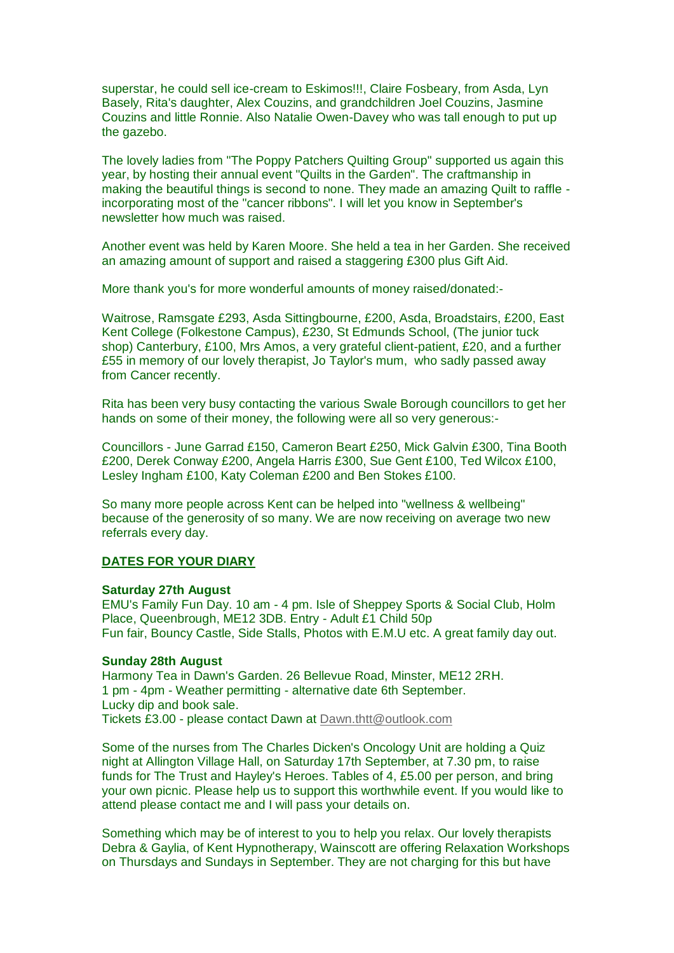superstar, he could sell ice-cream to Eskimos!!!, Claire Fosbeary, from Asda, Lyn Basely, Rita's daughter, Alex Couzins, and grandchildren Joel Couzins, Jasmine Couzins and little Ronnie. Also Natalie Owen-Davey who was tall enough to put up the gazebo.

The lovely ladies from "The Poppy Patchers Quilting Group" supported us again this year, by hosting their annual event "Quilts in the Garden". The craftmanship in making the beautiful things is second to none. They made an amazing Quilt to raffle incorporating most of the "cancer ribbons". I will let you know in September's newsletter how much was raised.

Another event was held by Karen Moore. She held a tea in her Garden. She received an amazing amount of support and raised a staggering £300 plus Gift Aid.

More thank you's for more wonderful amounts of money raised/donated:-

Waitrose, Ramsgate £293, Asda Sittingbourne, £200, Asda, Broadstairs, £200, East Kent College (Folkestone Campus), £230, St Edmunds School, (The junior tuck shop) Canterbury, £100, Mrs Amos, a very grateful client-patient, £20, and a further £55 in memory of our lovely therapist, Jo Taylor's mum, who sadly passed away from Cancer recently.

Rita has been very busy contacting the various Swale Borough councillors to get her hands on some of their money, the following were all so very generous:-

Councillors - June Garrad £150, Cameron Beart £250, Mick Galvin £300, Tina Booth £200, Derek Conway £200, Angela Harris £300, Sue Gent £100, Ted Wilcox £100, Lesley Ingham £100, Katy Coleman £200 and Ben Stokes £100.

So many more people across Kent can be helped into "wellness & wellbeing" because of the generosity of so many. We are now receiving on average two new referrals every day.

## **DATES FOR YOUR DIARY**

## **Saturday 27th August**

EMU's Family Fun Day. 10 am - 4 pm. Isle of Sheppey Sports & Social Club, Holm Place, Queenbrough, ME12 3DB. Entry - Adult £1 Child 50p Fun fair, Bouncy Castle, Side Stalls, Photos with E.M.U etc. A great family day out.

## **Sunday 28th August**

Harmony Tea in Dawn's Garden. 26 Bellevue Road, Minster, ME12 2RH. 1 pm - 4pm - Weather permitting - alternative date 6th September. Lucky dip and book sale. Tickets £3.00 - please contact Dawn at [Dawn.thtt@outlook.com](mailto:Dawn.thtt@outlook.com)

Some of the nurses from The Charles Dicken's Oncology Unit are holding a Quiz night at Allington Village Hall, on Saturday 17th September, at 7.30 pm, to raise funds for The Trust and Hayley's Heroes. Tables of 4, £5.00 per person, and bring your own picnic. Please help us to support this worthwhile event. If you would like to attend please contact me and I will pass your details on.

Something which may be of interest to you to help you relax. Our lovely therapists Debra & Gaylia, of Kent Hypnotherapy, Wainscott are offering Relaxation Workshops on Thursdays and Sundays in September. They are not charging for this but have